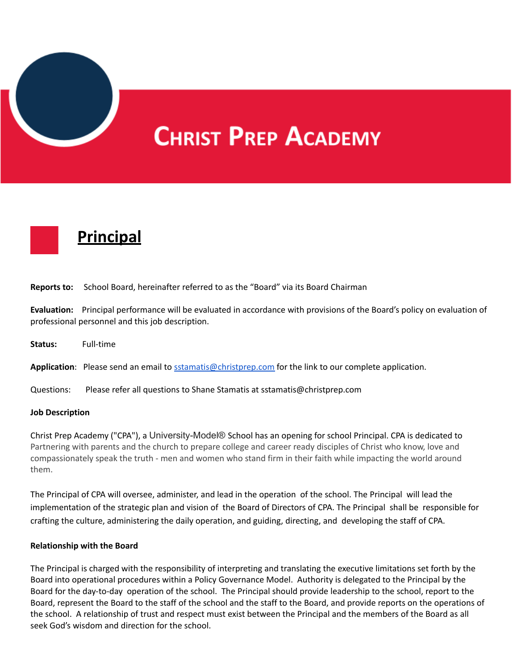

# **CHRIST PREP ACADEMY**



| <b>Reports to:</b> | School Board, hereinafter referred to as the "Board" via its Board Chairman                                                                                                  |
|--------------------|------------------------------------------------------------------------------------------------------------------------------------------------------------------------------|
|                    | Evaluation: Principal performance will be evaluated in accordance with provisions of the Board's policy on evaluation of<br>professional personnel and this job description. |
| Status:            | Full-time                                                                                                                                                                    |
|                    | Application: Please send an email to sstamatis@christprep.com for the link to our complete application.                                                                      |
| Questions:         | Please refer all questions to Shane Stamatis at sstamatis@christprep.com                                                                                                     |

#### **Job Description**

Christ Prep Academy ("CPA"), a University-Model® School has an opening for school Principal. CPA is dedicated to Partnering with parents and the church to prepare college and career ready disciples of Christ who know, love and compassionately speak the truth - men and women who stand firm in their faith while impacting the world around them.

The Principal of CPA will oversee, administer, and lead in the operation of the school. The Principal will lead the implementation of the strategic plan and vision of the Board of Directors of CPA. The Principal shall be responsible for crafting the culture, administering the daily operation, and guiding, directing, and developing the staff of CPA.

#### **Relationship with the Board**

The Principal is charged with the responsibility of interpreting and translating the executive limitations set forth by the Board into operational procedures within a Policy Governance Model. Authority is delegated to the Principal by the Board for the day-to-day operation of the school. The Principal should provide leadership to the school, report to the Board, represent the Board to the staff of the school and the staff to the Board, and provide reports on the operations of the school. A relationship of trust and respect must exist between the Principal and the members of the Board as all seek God's wisdom and direction for the school.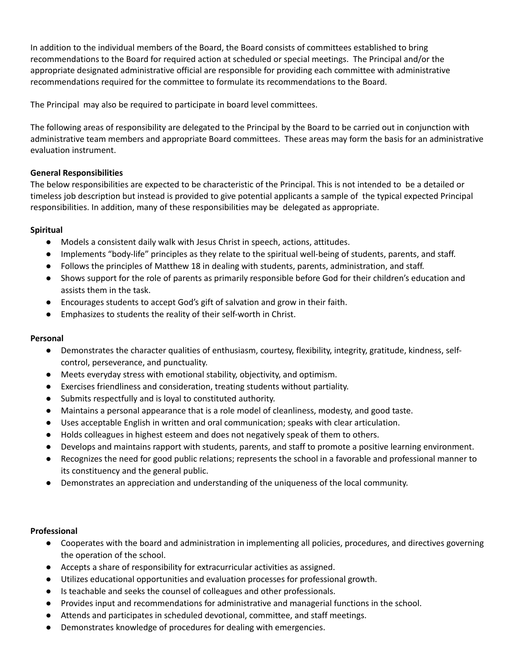In addition to the individual members of the Board, the Board consists of committees established to bring recommendations to the Board for required action at scheduled or special meetings. The Principal and/or the appropriate designated administrative official are responsible for providing each committee with administrative recommendations required for the committee to formulate its recommendations to the Board.

The Principal may also be required to participate in board level committees.

The following areas of responsibility are delegated to the Principal by the Board to be carried out in conjunction with administrative team members and appropriate Board committees. These areas may form the basis for an administrative evaluation instrument.

### **General Responsibilities**

The below responsibilities are expected to be characteristic of the Principal. This is not intended to be a detailed or timeless job description but instead is provided to give potential applicants a sample of the typical expected Principal responsibilities. In addition, many of these responsibilities may be delegated as appropriate.

### **Spiritual**

- Models a consistent daily walk with Jesus Christ in speech, actions, attitudes.
- Implements "body-life" principles as they relate to the spiritual well-being of students, parents, and staff.
- Follows the principles of Matthew 18 in dealing with students, parents, administration, and staff.
- Shows support for the role of parents as primarily responsible before God for their children's education and assists them in the task.
- Encourages students to accept God's gift of salvation and grow in their faith.
- Emphasizes to students the reality of their self-worth in Christ.

#### **Personal**

- Demonstrates the character qualities of enthusiasm, courtesy, flexibility, integrity, gratitude, kindness, selfcontrol, perseverance, and punctuality.
- Meets everyday stress with emotional stability, objectivity, and optimism.
- Exercises friendliness and consideration, treating students without partiality.
- Submits respectfully and is loyal to constituted authority.
- Maintains a personal appearance that is a role model of cleanliness, modesty, and good taste.
- Uses acceptable English in written and oral communication; speaks with clear articulation.
- Holds colleagues in highest esteem and does not negatively speak of them to others.
- Develops and maintains rapport with students, parents, and staff to promote a positive learning environment.
- Recognizes the need for good public relations; represents the school in a favorable and professional manner to its constituency and the general public.
- Demonstrates an appreciation and understanding of the uniqueness of the local community.

#### **Professional**

- Cooperates with the board and administration in implementing all policies, procedures, and directives governing the operation of the school.
- Accepts a share of responsibility for extracurricular activities as assigned.
- Utilizes educational opportunities and evaluation processes for professional growth.
- Is teachable and seeks the counsel of colleagues and other professionals.
- Provides input and recommendations for administrative and managerial functions in the school.
- Attends and participates in scheduled devotional, committee, and staff meetings.
- Demonstrates knowledge of procedures for dealing with emergencies.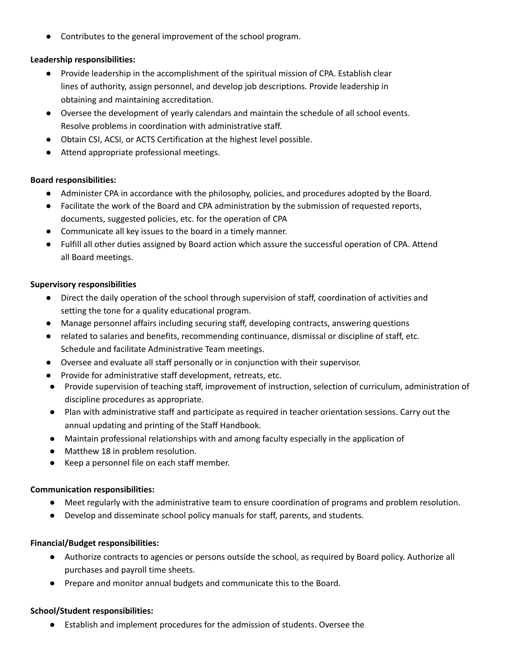Contributes to the general improvement of the school program.

# **Leadership responsibilities:**

- Provide leadership in the accomplishment of the spiritual mission of CPA. Establish clear lines of authority, assign personnel, and develop job descriptions. Provide leadership in obtaining and maintaining accreditation.
- Oversee the development of yearly calendars and maintain the schedule of all school events. Resolve problems in coordination with administrative staff.
- Obtain CSI, ACSI, or ACTS Certification at the highest level possible.
- Attend appropriate professional meetings.

## **Board responsibilities:**

- Administer CPA in accordance with the philosophy, policies, and procedures adopted by the Board.
- Facilitate the work of the Board and CPA administration by the submission of requested reports, documents, suggested policies, etc. for the operation of CPA
- Communicate all key issues to the board in a timely manner.
- Fulfill all other duties assigned by Board action which assure the successful operation of CPA. Attend all Board meetings.

## **Supervisory responsibilities**

- Direct the daily operation of the school through supervision of staff, coordination of activities and setting the tone for a quality educational program.
- Manage personnel affairs including securing staff, developing contracts, answering questions
- related to salaries and benefits, recommending continuance, dismissal or discipline of staff, etc. Schedule and facilitate Administrative Team meetings.
- Oversee and evaluate all staff personally or in conjunction with their supervisor.
- Provide for administrative staff development, retreats, etc.
- Provide supervision of teaching staff, improvement of instruction, selection of curriculum, administration of discipline procedures as appropriate.
- Plan with administrative staff and participate as required in teacher orientation sessions. Carry out the annual updating and printing of the Staff Handbook.
- Maintain professional relationships with and among faculty especially in the application of
- Matthew 18 in problem resolution.
- Keep a personnel file on each staff member.

## **Communication responsibilities:**

- Meet regularly with the administrative team to ensure coordination of programs and problem resolution.
- Develop and disseminate school policy manuals for staff, parents, and students.

## **Financial/Budget responsibilities:**

- Authorize contracts to agencies or persons outside the school, as required by Board policy. Authorize all purchases and payroll time sheets.
- Prepare and monitor annual budgets and communicate this to the Board.

## **School/Student responsibilities:**

● Establish and implement procedures for the admission of students. Oversee the